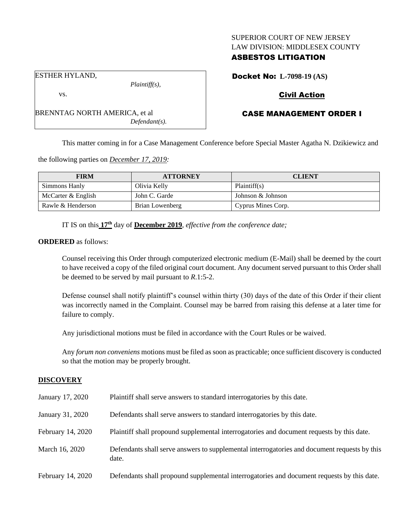### SUPERIOR COURT OF NEW JERSEY LAW DIVISION: MIDDLESEX COUNTY

# ASBESTOS LITIGATION

ESTHER HYLAND,

vs.

*Plaintiff(s),*

*Defendant(s).*

Docket No: **L-7098-19 (AS)**

# Civil Action

# CASE MANAGEMENT ORDER I

This matter coming in for a Case Management Conference before Special Master Agatha N. Dzikiewicz and

the following parties on *December 17, 2019:*

BRENNTAG NORTH AMERICA, et al

| <b>FIRM</b>        | <b>ATTORNEY</b> | <b>CLIENT</b>      |
|--------------------|-----------------|--------------------|
| Simmons Hanly      | Olivia Kelly    | Plaintiff(s)       |
| McCarter & English | John C. Garde   | Johnson & Johnson  |
| Rawle & Henderson  | Brian Lowenberg | Cyprus Mines Corp. |

IT IS on this **17th** day of **December 2019**, *effective from the conference date;*

**ORDERED** as follows:

Counsel receiving this Order through computerized electronic medium (E-Mail) shall be deemed by the court to have received a copy of the filed original court document. Any document served pursuant to this Order shall be deemed to be served by mail pursuant to *R*.1:5-2.

Defense counsel shall notify plaintiff's counsel within thirty (30) days of the date of this Order if their client was incorrectly named in the Complaint. Counsel may be barred from raising this defense at a later time for failure to comply.

Any jurisdictional motions must be filed in accordance with the Court Rules or be waived.

Any *forum non conveniens* motions must be filed as soon as practicable; once sufficient discovery is conducted so that the motion may be properly brought.

# **DISCOVERY**

| January 17, 2020  | Plaintiff shall serve answers to standard interrogatories by this date.                               |
|-------------------|-------------------------------------------------------------------------------------------------------|
| January 31, 2020  | Defendants shall serve answers to standard interrogatories by this date.                              |
| February 14, 2020 | Plaintiff shall propound supplemental interrogatories and document requests by this date.             |
| March 16, 2020    | Defendants shall serve answers to supplemental interrogatories and document requests by this<br>date. |
| February 14, 2020 | Defendants shall propound supplemental interrogatories and document requests by this date.            |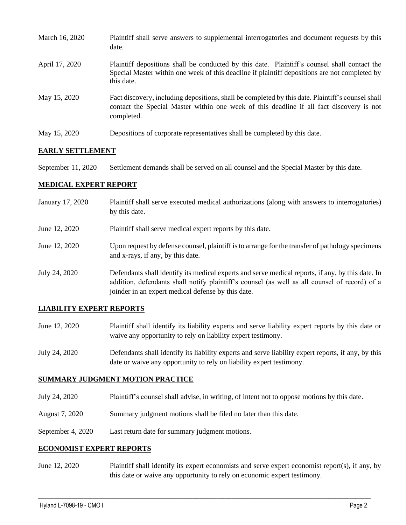| March 16, 2020 | Plaintiff shall serve answers to supplemental interrogatories and document requests by this<br>date.                                                                                                        |
|----------------|-------------------------------------------------------------------------------------------------------------------------------------------------------------------------------------------------------------|
| April 17, 2020 | Plaintiff depositions shall be conducted by this date. Plaintiff's counsel shall contact the<br>Special Master within one week of this deadline if plaintiff depositions are not completed by<br>this date. |
| May 15, 2020   | Fact discovery, including depositions, shall be completed by this date. Plaintiff's counsel shall<br>contact the Special Master within one week of this deadline if all fact discovery is not<br>completed. |
| May 15, 2020   | Depositions of corporate representatives shall be completed by this date.                                                                                                                                   |

### **EARLY SETTLEMENT**

September 11, 2020 Settlement demands shall be served on all counsel and the Special Master by this date.

#### **MEDICAL EXPERT REPORT**

| January 17, 2020 | Plaintiff shall serve executed medical authorizations (along with answers to interrogatories)<br>by this date.                                                                                                                                           |
|------------------|----------------------------------------------------------------------------------------------------------------------------------------------------------------------------------------------------------------------------------------------------------|
| June 12, 2020    | Plaintiff shall serve medical expert reports by this date.                                                                                                                                                                                               |
| June 12, 2020    | Upon request by defense counsel, plaintiff is to arrange for the transfer of pathology specimens<br>and x-rays, if any, by this date.                                                                                                                    |
| July 24, 2020    | Defendants shall identify its medical experts and serve medical reports, if any, by this date. In<br>addition, defendants shall notify plaintiff's counsel (as well as all counsel of record) of a<br>joinder in an expert medical defense by this date. |

### **LIABILITY EXPERT REPORTS**

- June 12, 2020 Plaintiff shall identify its liability experts and serve liability expert reports by this date or waive any opportunity to rely on liability expert testimony.
- July 24, 2020 Defendants shall identify its liability experts and serve liability expert reports, if any, by this date or waive any opportunity to rely on liability expert testimony.

### **SUMMARY JUDGMENT MOTION PRACTICE**

- July 24, 2020 Plaintiff's counsel shall advise, in writing, of intent not to oppose motions by this date.
- August 7, 2020 Summary judgment motions shall be filed no later than this date.
- September 4, 2020 Last return date for summary judgment motions.

#### **ECONOMIST EXPERT REPORTS**

June 12, 2020 Plaintiff shall identify its expert economists and serve expert economist report(s), if any, by this date or waive any opportunity to rely on economic expert testimony.

 $\_$  , and the set of the set of the set of the set of the set of the set of the set of the set of the set of the set of the set of the set of the set of the set of the set of the set of the set of the set of the set of th